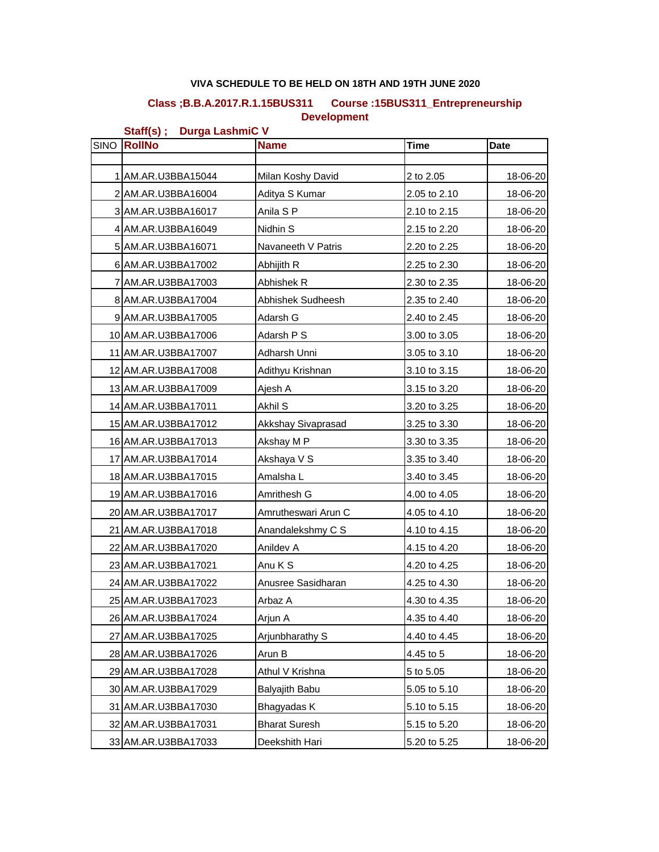## **VIVA SCHEDULE TO BE HELD ON 18TH AND 19TH JUNE 2020**

## **Class ;B.B.A.2017.R.1.15BUS311 Course :15BUS311\_Entrepreneurship Development**

**Staff(s) ; Durga LashmiC V** SINO **RollNo Name Time Date** 1 AM.AR.U3BBA15044 Milan Koshy David 2 to 2.05 18-06-20 2 AM.AR.U3BBA16004 Aditya S Kumar 2.05 to 2.10 18-06-20 3 AM.AR.U3BBA16017 Anila S P 2.10 to 2.15 18-06-20 4 AM.AR.U3BBA16049 Nidhin S 2.15 to 2.20 18-06-20 5 AM.AR.U3BBA16071 Navaneeth V Patris 2.20 to 2.25 | 18-06-20 6 AM.AR.U3BBA17002 Abhijith R 2.25 to 2.30 18-06-20 7 AM.AR.U3BBA17003 Abhishek R 2.30 to 2.35 1 18-06-20 8 AM.AR.U3BBA17004 Abhishek Sudheesh 2.35 to 2.40 18-06-20 9 AM.AR.U3BBA17005 | Adarsh G  $\vert$  2.40 to 2.45 | 18-06-20 10 AM.AR.U3BBA17006 Adarsh P S 3.00 to 3.05 18-06-20 11 AM.AR.U3BBA17007 Adharsh Unni 3.05 to 3.10 18-06-20 12 AM.AR.U3BBA17008 | Adithyu Krishnan | 3.10 to 3.15 | 18-06-20 13 AM.AR.U3BBA17009 | Ajesh A 3.15 to 3.20 | 18-06-20 14 AM.AR.U3BBA17011 Akhil S 3.20 to 3.25 18-06-20 15 AM.AR.U3BBA17012 Akkshay Sivaprasad 3.25 to 3.30 18-06-20 16 AM.AR.U3BBA17013 Akshay M P 3.30 to 3.35 1 3.96-20 17 AM.AR.U3BBA17014 Akshaya V S 3.35 to 3.40 18-06-20 18 AM.AR.U3BBA17015 Amalsha L 3.40 to 3.45 18-06-20 19 AM.AR.U3BBA17016 Amrithesh G 4.00 to 4.05 18-06-20 20 AM.AR.U3BBA17017 Amrutheswari Arun C 4.05 to 4.10 18-06-20 21 AM.AR.U3BBA17018 Anandalekshmy C S 4.10 to 4.15 18-06-20 22 AM.AR.U3BBA17020 Anildev A 4.15 to 4.20 18-06-20 23 AM.AR.U3BBA17021 Anu K S 4.20 to 4.25 18-06-20 24 AM.AR.U3BBA17022 Anusree Sasidharan 4.25 to 4.30 18-06-20 25 AM.AR.U3BBA17023 Arbaz A 4.30 to 4.35 18-06-20 26 AM.AR.U3BBA17024 Arjun A 4.35 to 4.40 18-06-20 27 AM.AR.U3BBA17025 Ariunbharathy S 4.40 to 4.45 18-06-20 28 AM.AR.U3BBA17026 | Arun B | 4.45 to 5 | 18-06-20 29 AM.AR.U3BBA17028 Athul V Krishna 5 to 5.05 18-06-20 30 AM.AR.U3BBA17029 Balyajith Babu 5.05 to 5.10 18-06-20 31 AM.AR.U3BBA17030 Bhagyadas K 5.10 to 5.15 18-06-20 32 AM.AR.U3BBA17031 Bharat Suresh 5.15 to 5.20 18-06-20 33 AM.AR.U3BBA17033 Deekshith Hari 5.20 to 5.25 18-06-20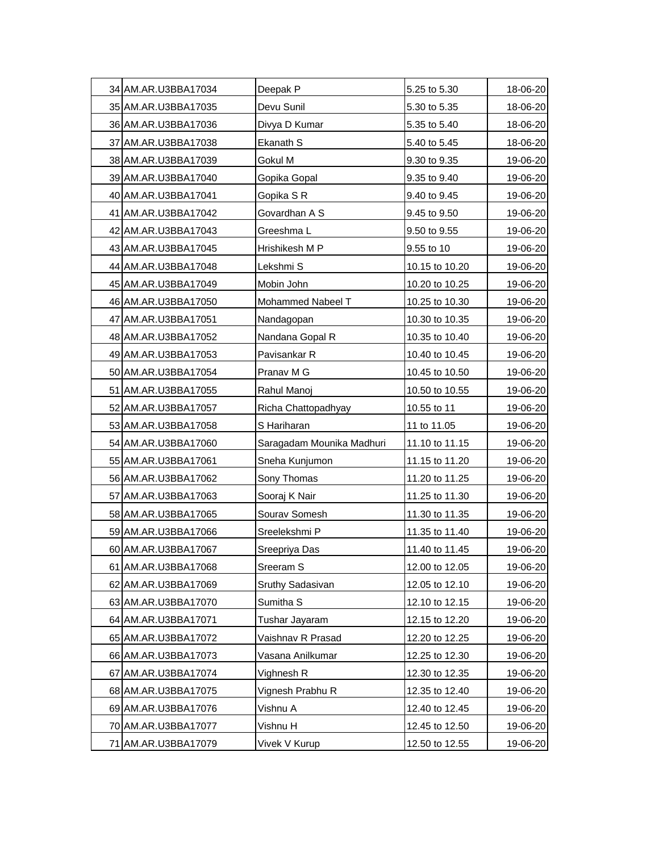| 34 AM.AR.U3BBA17034 | Deepak P                  | 5.25 to 5.30   | 18-06-20 |
|---------------------|---------------------------|----------------|----------|
| 35 AM.AR.U3BBA17035 | Devu Sunil                | 5.30 to 5.35   | 18-06-20 |
| 36 AM.AR.U3BBA17036 | Divya D Kumar             | 5.35 to 5.40   | 18-06-20 |
| 37 AM.AR.U3BBA17038 | Ekanath S                 | 5.40 to 5.45   | 18-06-20 |
| 38 AM.AR.U3BBA17039 | Gokul M                   | 9.30 to 9.35   | 19-06-20 |
| 39 AM.AR.U3BBA17040 | Gopika Gopal              | 9.35 to 9.40   | 19-06-20 |
| 40 AM.AR.U3BBA17041 | Gopika S R                | 9.40 to 9.45   | 19-06-20 |
| 41 AM.AR.U3BBA17042 | Govardhan A S             | 9.45 to 9.50   | 19-06-20 |
| 42 AM.AR.U3BBA17043 | Greeshma L                | 9.50 to 9.55   | 19-06-20 |
| 43 AM.AR.U3BBA17045 | Hrishikesh M P            | 9.55 to 10     | 19-06-20 |
| 44 AM.AR.U3BBA17048 | Lekshmi S                 | 10.15 to 10.20 | 19-06-20 |
| 45 AM.AR.U3BBA17049 | Mobin John                | 10.20 to 10.25 | 19-06-20 |
| 46 AM.AR.U3BBA17050 | Mohammed Nabeel T         | 10.25 to 10.30 | 19-06-20 |
| 47 AM.AR.U3BBA17051 | Nandagopan                | 10.30 to 10.35 | 19-06-20 |
| 48 AM.AR.U3BBA17052 | Nandana Gopal R           | 10.35 to 10.40 | 19-06-20 |
| 49 AM.AR.U3BBA17053 | Pavisankar R              | 10.40 to 10.45 | 19-06-20 |
| 50 AM.AR.U3BBA17054 | Pranav M G                | 10.45 to 10.50 | 19-06-20 |
| 51 AM.AR.U3BBA17055 | Rahul Manoj               | 10.50 to 10.55 | 19-06-20 |
| 52 AM.AR.U3BBA17057 | Richa Chattopadhyay       | 10.55 to 11    | 19-06-20 |
| 53 AM.AR.U3BBA17058 | S Hariharan               | 11 to 11.05    | 19-06-20 |
| 54 AM.AR.U3BBA17060 | Saragadam Mounika Madhuri | 11.10 to 11.15 | 19-06-20 |
| 55 AM.AR.U3BBA17061 | Sneha Kunjumon            | 11.15 to 11.20 | 19-06-20 |
| 56 AM.AR.U3BBA17062 | Sony Thomas               | 11.20 to 11.25 | 19-06-20 |
| 57 AM.AR.U3BBA17063 | Sooraj K Nair             | 11.25 to 11.30 | 19-06-20 |
| 58 AM.AR.U3BBA17065 | Sourav Somesh             | 11.30 to 11.35 | 19-06-20 |
| 59 AM.AR.U3BBA17066 | Sreelekshmi P             | 11.35 to 11.40 | 19-06-20 |
| 60 AM.AR.U3BBA17067 | Sreepriya Das             | 11.40 to 11.45 | 19-06-20 |
| 61 AM.AR.U3BBA17068 | Sreeram S                 | 12.00 to 12.05 | 19-06-20 |
| 62 AM.AR.U3BBA17069 | Sruthy Sadasivan          | 12.05 to 12.10 | 19-06-20 |
| 63 AM.AR.U3BBA17070 | Sumitha <sub>S</sub>      | 12.10 to 12.15 | 19-06-20 |
| 64 AM.AR.U3BBA17071 | Tushar Jayaram            | 12.15 to 12.20 | 19-06-20 |
| 65 AM.AR.U3BBA17072 | Vaishnav R Prasad         | 12.20 to 12.25 | 19-06-20 |
| 66 AM.AR.U3BBA17073 | Vasana Anilkumar          | 12.25 to 12.30 | 19-06-20 |
| 67 AM.AR.U3BBA17074 | Vighnesh R                | 12.30 to 12.35 | 19-06-20 |
| 68 AM.AR.U3BBA17075 | Vignesh Prabhu R          | 12.35 to 12.40 | 19-06-20 |
| 69 AM.AR.U3BBA17076 | Vishnu A                  | 12.40 to 12.45 | 19-06-20 |
| 70 AM.AR.U3BBA17077 | Vishnu H                  | 12.45 to 12.50 | 19-06-20 |
| 71 AM.AR.U3BBA17079 | Vivek V Kurup             | 12.50 to 12.55 | 19-06-20 |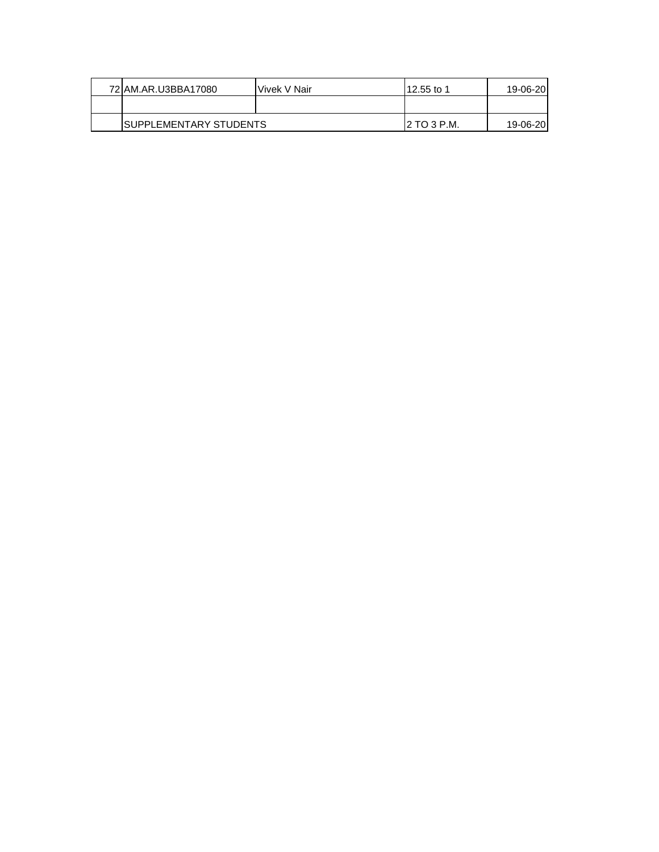| 72 AM.AR.U3BBA17080     | Vivek V Nair | l12.55 to 1         | 19-06-20 |
|-------------------------|--------------|---------------------|----------|
|                         |              |                     |          |
| ISUPPLEMENTARY STUDENTS |              | <b>I2 TO 3 P.M.</b> | 19-06-20 |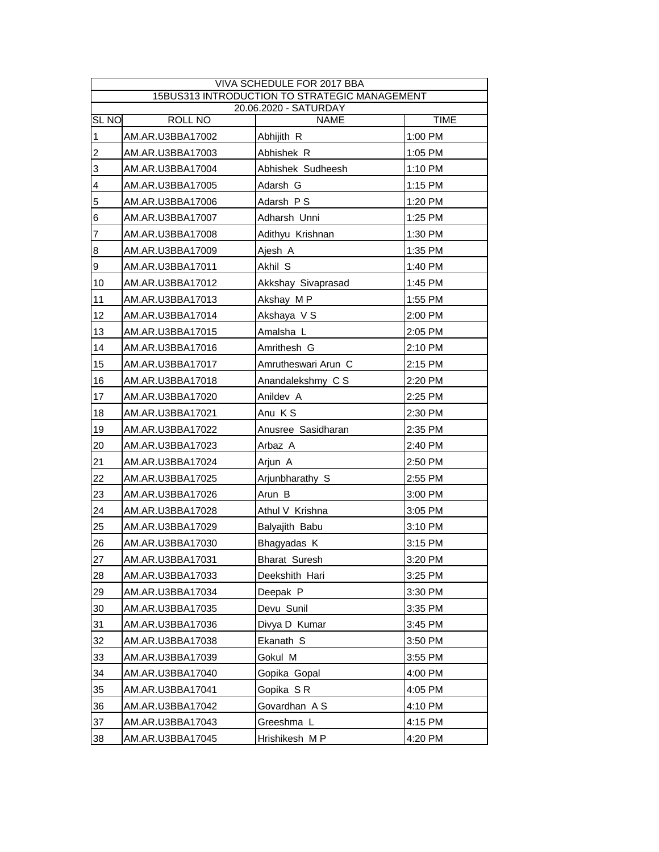| VIVA SCHEDULE FOR 2017 BBA<br>15BUS313 INTRODUCTION TO STRATEGIC MANAGEMENT |                  |                     |             |  |  |
|-----------------------------------------------------------------------------|------------------|---------------------|-------------|--|--|
| 20.06.2020 - SATURDAY                                                       |                  |                     |             |  |  |
| <b>SL NO</b>                                                                | ROLL NO          | <b>NAME</b>         | <b>TIME</b> |  |  |
| $\mathbf{1}$                                                                | AM.AR.U3BBA17002 | Abhijith R          | 1:00 PM     |  |  |
| $\overline{c}$                                                              | AM.AR.U3BBA17003 | Abhishek R          | 1:05 PM     |  |  |
| 3                                                                           | AM.AR.U3BBA17004 | Abhishek Sudheesh   | 1:10 PM     |  |  |
| $\overline{\mathbf{4}}$                                                     | AM.AR.U3BBA17005 | Adarsh G            | 1:15 PM     |  |  |
| 5                                                                           | AM.AR.U3BBA17006 | Adarsh PS           | 1:20 PM     |  |  |
| $\,$ 6                                                                      | AM.AR.U3BBA17007 | Adharsh Unni        | 1:25 PM     |  |  |
| $\overline{7}$                                                              | AM.AR.U3BBA17008 | Adithyu Krishnan    | 1:30 PM     |  |  |
| 8                                                                           | AM.AR.U3BBA17009 | Ajesh A             | 1:35 PM     |  |  |
| 9                                                                           | AM.AR.U3BBA17011 | Akhil S             | 1:40 PM     |  |  |
| 10                                                                          | AM.AR.U3BBA17012 | Akkshay Sivaprasad  | 1:45 PM     |  |  |
| 11                                                                          | AM.AR.U3BBA17013 | Akshay MP           | 1:55 PM     |  |  |
| 12                                                                          | AM.AR.U3BBA17014 | Akshaya V S         | 2:00 PM     |  |  |
| 13                                                                          | AM.AR.U3BBA17015 | Amalsha L           | 2:05 PM     |  |  |
| 14                                                                          | AM.AR.U3BBA17016 | Amrithesh G         | 2:10 PM     |  |  |
| 15                                                                          | AM.AR.U3BBA17017 | Amrutheswari Arun C | 2:15 PM     |  |  |
| 16                                                                          | AM.AR.U3BBA17018 | Anandalekshmy C S   | 2:20 PM     |  |  |
| 17                                                                          | AM.AR.U3BBA17020 | Anildev A           | 2:25 PM     |  |  |
| 18                                                                          | AM.AR.U3BBA17021 | Anu KS              | 2:30 PM     |  |  |
| 19                                                                          | AM.AR.U3BBA17022 | Anusree Sasidharan  | 2:35 PM     |  |  |
| 20                                                                          | AM.AR.U3BBA17023 | Arbaz A             | 2:40 PM     |  |  |
| 21                                                                          | AM.AR.U3BBA17024 | Arjun A             | 2:50 PM     |  |  |
| 22                                                                          | AM.AR.U3BBA17025 | Arjunbharathy S     | 2:55 PM     |  |  |
| 23                                                                          | AM.AR.U3BBA17026 | Arun B              | 3:00 PM     |  |  |
| 24                                                                          | AM.AR.U3BBA17028 | Athul V Krishna     | 3:05 PM     |  |  |
| 25                                                                          | AM.AR.U3BBA17029 | Balyajith Babu      | 3:10 PM     |  |  |
| 26                                                                          | AM.AR.U3BBA17030 | Bhagyadas K         | 3:15 PM     |  |  |
| 27                                                                          | AM.AR.U3BBA17031 | Bharat Suresh       | 3:20 PM     |  |  |
| 28                                                                          | AM.AR.U3BBA17033 | Deekshith Hari      | 3:25 PM     |  |  |
| 29                                                                          | AM.AR.U3BBA17034 | Deepak P            | 3:30 PM     |  |  |
| 30                                                                          | AM.AR.U3BBA17035 | Devu Sunil          | 3:35 PM     |  |  |
| 31                                                                          | AM.AR.U3BBA17036 | Divya D Kumar       | 3:45 PM     |  |  |
| 32                                                                          | AM.AR.U3BBA17038 | Ekanath S           | 3:50 PM     |  |  |
| 33                                                                          | AM.AR.U3BBA17039 | Gokul M             | 3:55 PM     |  |  |
| 34                                                                          | AM.AR.U3BBA17040 | Gopika Gopal        | 4:00 PM     |  |  |
| 35                                                                          | AM.AR.U3BBA17041 | Gopika SR           | 4:05 PM     |  |  |
| 36                                                                          | AM.AR.U3BBA17042 | Govardhan A S       | 4:10 PM     |  |  |
| 37                                                                          | AM.AR.U3BBA17043 | Greeshma L          | 4:15 PM     |  |  |
| 38                                                                          | AM.AR.U3BBA17045 | Hrishikesh MP       | 4:20 PM     |  |  |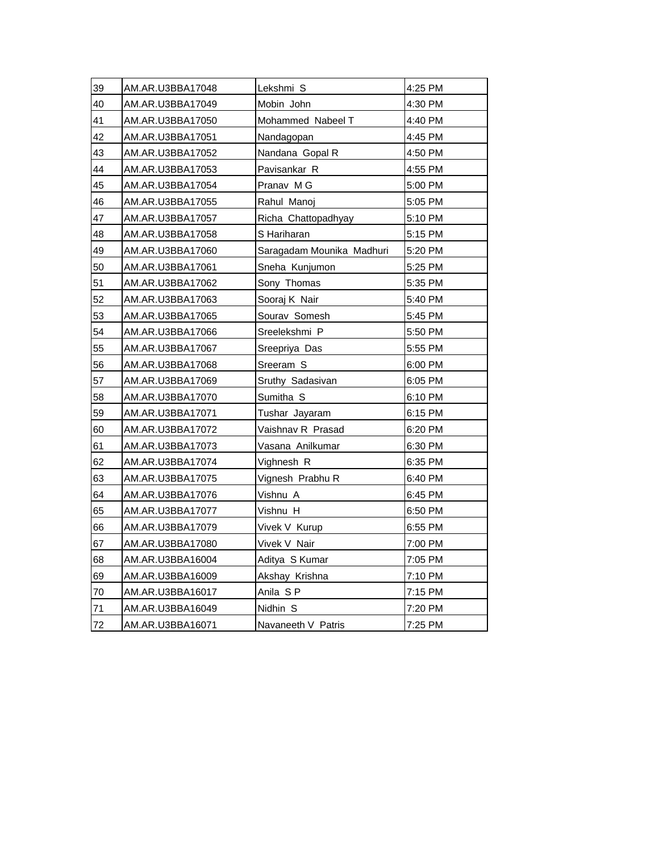| 39 | AM.AR.U3BBA17048 | Lekshmi S                 | 4:25 PM |
|----|------------------|---------------------------|---------|
| 40 | AM.AR.U3BBA17049 | Mobin John                | 4:30 PM |
| 41 | AM.AR.U3BBA17050 | Mohammed Nabeel T         | 4:40 PM |
| 42 | AM.AR.U3BBA17051 | Nandagopan                | 4:45 PM |
| 43 | AM.AR.U3BBA17052 | Nandana Gopal R           | 4:50 PM |
| 44 | AM.AR.U3BBA17053 | Pavisankar R              | 4:55 PM |
| 45 | AM.AR.U3BBA17054 | Pranav M G                | 5:00 PM |
| 46 | AM.AR.U3BBA17055 | Rahul Manoj               | 5:05 PM |
| 47 | AM.AR.U3BBA17057 | Richa Chattopadhyay       | 5:10 PM |
| 48 | AM.AR.U3BBA17058 | S Hariharan               | 5:15 PM |
| 49 | AM.AR.U3BBA17060 | Saragadam Mounika Madhuri | 5:20 PM |
| 50 | AM.AR.U3BBA17061 | Sneha Kunjumon            | 5:25 PM |
| 51 | AM.AR.U3BBA17062 | Sony Thomas               | 5:35 PM |
| 52 | AM.AR.U3BBA17063 | Sooraj K Nair             | 5:40 PM |
| 53 | AM.AR.U3BBA17065 | Sourav Somesh             | 5:45 PM |
| 54 | AM.AR.U3BBA17066 | Sreelekshmi P             | 5:50 PM |
| 55 | AM.AR.U3BBA17067 | Sreepriya Das             | 5:55 PM |
| 56 | AM.AR.U3BBA17068 | Sreeram S                 | 6:00 PM |
| 57 | AM.AR.U3BBA17069 | Sruthy Sadasivan          | 6:05 PM |
| 58 | AM.AR.U3BBA17070 | Sumitha S                 | 6:10 PM |
| 59 | AM.AR.U3BBA17071 | Tushar Jayaram            | 6:15 PM |
| 60 | AM.AR.U3BBA17072 | Vaishnav R Prasad         | 6:20 PM |
| 61 | AM.AR.U3BBA17073 | Vasana Anilkumar          | 6:30 PM |
| 62 | AM.AR.U3BBA17074 | Vighnesh R                | 6:35 PM |
| 63 | AM.AR.U3BBA17075 | Vignesh Prabhu R          | 6:40 PM |
| 64 | AM.AR.U3BBA17076 | Vishnu A                  | 6:45 PM |
| 65 | AM.AR.U3BBA17077 | Vishnu H                  | 6:50 PM |
| 66 | AM.AR.U3BBA17079 | Vivek V Kurup             | 6:55 PM |
| 67 | AM.AR.U3BBA17080 | Vivek V Nair              | 7:00 PM |
| 68 | AM.AR.U3BBA16004 | Aditya S Kumar            | 7:05 PM |
| 69 | AM.AR.U3BBA16009 | Akshay Krishna            | 7:10 PM |
| 70 | AM.AR.U3BBA16017 | Anila SP                  | 7:15 PM |
| 71 | AM.AR.U3BBA16049 | Nidhin S                  | 7:20 PM |
| 72 | AM.AR.U3BBA16071 | Navaneeth V Patris        | 7:25 PM |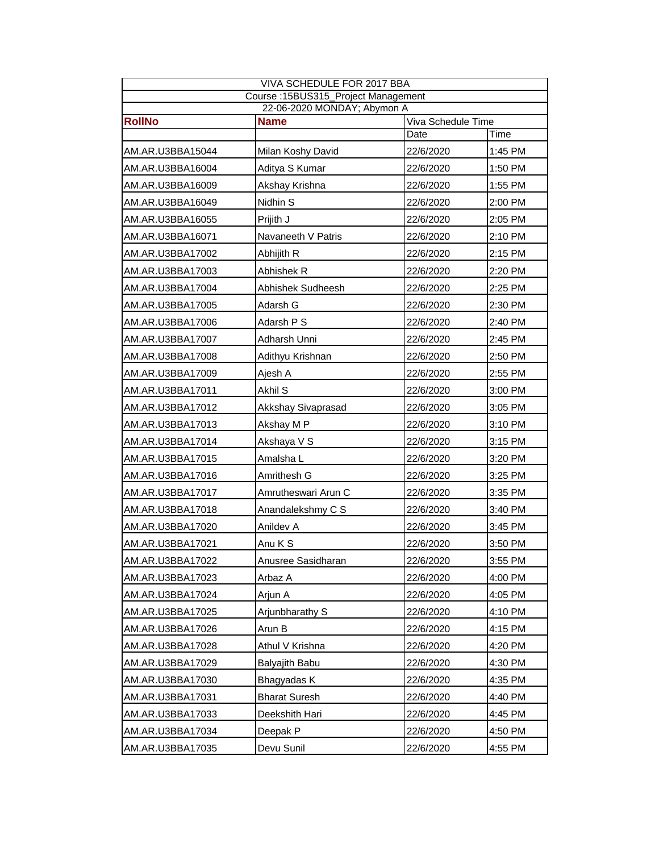| VIVA SCHEDULE FOR 2017 BBA                                                        |                                     |           |         |  |  |
|-----------------------------------------------------------------------------------|-------------------------------------|-----------|---------|--|--|
|                                                                                   | Course: 15BUS315_Project Management |           |         |  |  |
| 22-06-2020 MONDAY; Abymon A<br><b>RollNo</b><br><b>Name</b><br>Viva Schedule Time |                                     |           |         |  |  |
|                                                                                   |                                     | Date      | Time    |  |  |
| AM.AR.U3BBA15044                                                                  | Milan Koshy David                   | 22/6/2020 | 1:45 PM |  |  |
| AM.AR.U3BBA16004                                                                  | Aditya S Kumar                      | 22/6/2020 | 1:50 PM |  |  |
| AM.AR.U3BBA16009                                                                  | Akshay Krishna                      | 22/6/2020 | 1:55 PM |  |  |
| AM.AR.U3BBA16049                                                                  | Nidhin S                            | 22/6/2020 | 2:00 PM |  |  |
| AM.AR.U3BBA16055                                                                  | Prijith J                           | 22/6/2020 | 2:05 PM |  |  |
| AM.AR.U3BBA16071                                                                  | Navaneeth V Patris                  | 22/6/2020 | 2:10 PM |  |  |
| AM.AR.U3BBA17002                                                                  | Abhijith R                          | 22/6/2020 | 2:15 PM |  |  |
| AM.AR.U3BBA17003                                                                  | Abhishek R                          | 22/6/2020 | 2:20 PM |  |  |
| AM.AR.U3BBA17004                                                                  | Abhishek Sudheesh                   | 22/6/2020 | 2:25 PM |  |  |
| AM.AR.U3BBA17005                                                                  | Adarsh G                            | 22/6/2020 | 2:30 PM |  |  |
| AM.AR.U3BBA17006                                                                  | Adarsh P S                          | 22/6/2020 | 2:40 PM |  |  |
| AM.AR.U3BBA17007                                                                  | Adharsh Unni                        | 22/6/2020 | 2:45 PM |  |  |
| AM.AR.U3BBA17008                                                                  | Adithyu Krishnan                    | 22/6/2020 | 2:50 PM |  |  |
| AM.AR.U3BBA17009                                                                  | Ajesh A                             | 22/6/2020 | 2:55 PM |  |  |
| AM.AR.U3BBA17011                                                                  | Akhil S                             | 22/6/2020 | 3:00 PM |  |  |
| AM.AR.U3BBA17012                                                                  | Akkshay Sivaprasad                  | 22/6/2020 | 3:05 PM |  |  |
| AM.AR.U3BBA17013                                                                  | Akshay M P                          | 22/6/2020 | 3:10 PM |  |  |
| AM.AR.U3BBA17014                                                                  | Akshaya V S                         | 22/6/2020 | 3:15 PM |  |  |
| AM.AR.U3BBA17015                                                                  | Amalsha L                           | 22/6/2020 | 3:20 PM |  |  |
| AM.AR.U3BBA17016                                                                  | Amrithesh G                         | 22/6/2020 | 3:25 PM |  |  |
| AM.AR.U3BBA17017                                                                  | Amrutheswari Arun C                 | 22/6/2020 | 3:35 PM |  |  |
| AM.AR.U3BBA17018                                                                  | Anandalekshmy C S                   | 22/6/2020 | 3:40 PM |  |  |
| AM.AR.U3BBA17020                                                                  | Anildev A                           | 22/6/2020 | 3:45 PM |  |  |
| AM.AR.U3BBA17021                                                                  | Anu K S                             | 22/6/2020 | 3:50 PM |  |  |
| AM.AR.U3BBA17022                                                                  | Anusree Sasidharan                  | 22/6/2020 | 3:55 PM |  |  |
| AM.AR.U3BBA17023                                                                  | Arbaz A                             | 22/6/2020 | 4:00 PM |  |  |
| AM.AR.U3BBA17024                                                                  | Arjun A                             | 22/6/2020 | 4:05 PM |  |  |
| AM.AR.U3BBA17025                                                                  | Arjunbharathy S                     | 22/6/2020 | 4:10 PM |  |  |
| AM.AR.U3BBA17026                                                                  | Arun B                              | 22/6/2020 | 4:15 PM |  |  |
| AM.AR.U3BBA17028                                                                  | Athul V Krishna                     | 22/6/2020 | 4:20 PM |  |  |
| AM.AR.U3BBA17029                                                                  | Balyajith Babu                      | 22/6/2020 | 4:30 PM |  |  |
| AM.AR.U3BBA17030                                                                  | Bhagyadas K                         | 22/6/2020 | 4:35 PM |  |  |
| AM.AR.U3BBA17031                                                                  | <b>Bharat Suresh</b>                | 22/6/2020 | 4:40 PM |  |  |
| AM.AR.U3BBA17033                                                                  | Deekshith Hari                      | 22/6/2020 | 4:45 PM |  |  |
| AM.AR.U3BBA17034                                                                  | Deepak P                            | 22/6/2020 | 4:50 PM |  |  |
| AM.AR.U3BBA17035                                                                  | Devu Sunil                          | 22/6/2020 | 4:55 PM |  |  |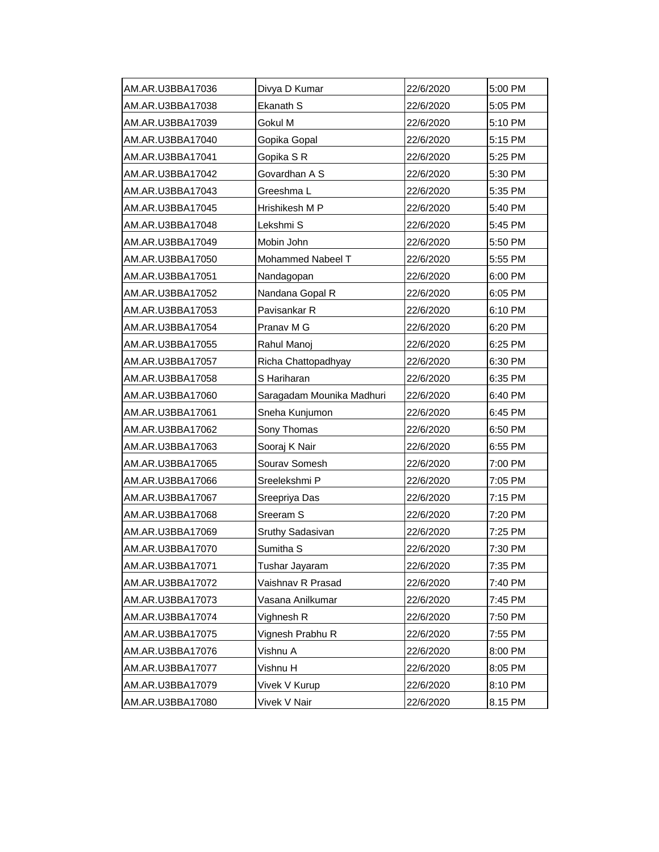| AM.AR.U3BBA17036 | Divya D Kumar             | 22/6/2020 | 5:00 PM |
|------------------|---------------------------|-----------|---------|
| AM.AR.U3BBA17038 | Ekanath S                 | 22/6/2020 | 5:05 PM |
| AM.AR.U3BBA17039 | Gokul M                   | 22/6/2020 | 5:10 PM |
| AM.AR.U3BBA17040 | Gopika Gopal              | 22/6/2020 | 5:15 PM |
| AM.AR.U3BBA17041 | Gopika S R                | 22/6/2020 | 5:25 PM |
| AM.AR.U3BBA17042 | Govardhan A S             | 22/6/2020 | 5:30 PM |
| AM.AR.U3BBA17043 | Greeshma L                | 22/6/2020 | 5:35 PM |
| AM.AR.U3BBA17045 | Hrishikesh M P            | 22/6/2020 | 5:40 PM |
| AM.AR.U3BBA17048 | Lekshmi S                 | 22/6/2020 | 5:45 PM |
| AM.AR.U3BBA17049 | Mobin John                | 22/6/2020 | 5:50 PM |
| AM.AR.U3BBA17050 | Mohammed Nabeel T         | 22/6/2020 | 5:55 PM |
| AM.AR.U3BBA17051 | Nandagopan                | 22/6/2020 | 6:00 PM |
| AM.AR.U3BBA17052 | Nandana Gopal R           | 22/6/2020 | 6:05 PM |
| AM.AR.U3BBA17053 | Pavisankar R              | 22/6/2020 | 6:10 PM |
| AM.AR.U3BBA17054 | Pranav M G                | 22/6/2020 | 6:20 PM |
| AM.AR.U3BBA17055 | Rahul Manoj               | 22/6/2020 | 6:25 PM |
| AM.AR.U3BBA17057 | Richa Chattopadhyay       | 22/6/2020 | 6:30 PM |
| AM.AR.U3BBA17058 | S Hariharan               | 22/6/2020 | 6:35 PM |
| AM.AR.U3BBA17060 | Saragadam Mounika Madhuri | 22/6/2020 | 6:40 PM |
| AM.AR.U3BBA17061 | Sneha Kunjumon            | 22/6/2020 | 6:45 PM |
| AM.AR.U3BBA17062 | Sony Thomas               | 22/6/2020 | 6:50 PM |
| AM.AR.U3BBA17063 | Sooraj K Nair             | 22/6/2020 | 6:55 PM |
| AM.AR.U3BBA17065 | Sourav Somesh             | 22/6/2020 | 7:00 PM |
| AM.AR.U3BBA17066 | Sreelekshmi P             | 22/6/2020 | 7:05 PM |
| AM.AR.U3BBA17067 | Sreepriya Das             | 22/6/2020 | 7:15 PM |
| AM.AR.U3BBA17068 | Sreeram S                 | 22/6/2020 | 7:20 PM |
| AM.AR.U3BBA17069 | Sruthy Sadasivan          | 22/6/2020 | 7:25 PM |
| AM.AR.U3BBA17070 | Sumitha <sub>S</sub>      | 22/6/2020 | 7:30 PM |
| AM.AR.U3BBA17071 | Tushar Jayaram            | 22/6/2020 | 7:35 PM |
| AM.AR.U3BBA17072 | Vaishnav R Prasad         | 22/6/2020 | 7:40 PM |
| AM.AR.U3BBA17073 | Vasana Anilkumar          | 22/6/2020 | 7:45 PM |
| AM.AR.U3BBA17074 | Vighnesh R                | 22/6/2020 | 7:50 PM |
| AM.AR.U3BBA17075 | Vignesh Prabhu R          | 22/6/2020 | 7:55 PM |
| AM.AR.U3BBA17076 | Vishnu A                  | 22/6/2020 | 8:00 PM |
| AM.AR.U3BBA17077 | Vishnu H                  | 22/6/2020 | 8:05 PM |
| AM.AR.U3BBA17079 | Vivek V Kurup             | 22/6/2020 | 8:10 PM |
| AM.AR.U3BBA17080 | Vivek V Nair              | 22/6/2020 | 8.15 PM |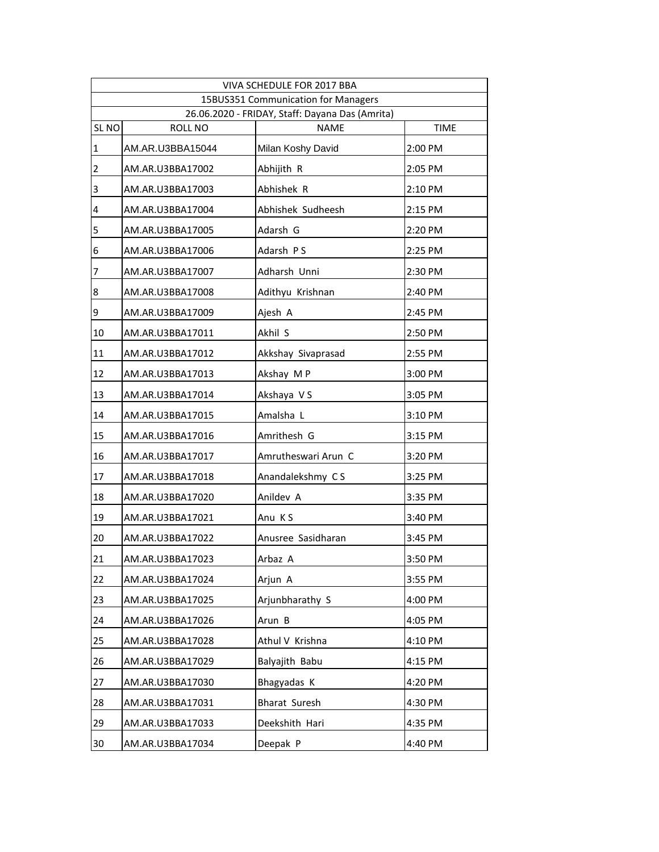|                  |                                                 | VIVA SCHEDULE FOR 2017 BBA          |             |  |  |  |  |
|------------------|-------------------------------------------------|-------------------------------------|-------------|--|--|--|--|
|                  |                                                 | 15BUS351 Communication for Managers |             |  |  |  |  |
|                  | 26.06.2020 - FRIDAY, Staff: Dayana Das (Amrita) |                                     |             |  |  |  |  |
| SL <sub>NO</sub> | ROLL NO                                         | <b>NAME</b>                         | <b>TIME</b> |  |  |  |  |
| $\mathbf 1$      | AM.AR.U3BBA15044                                | Milan Koshy David                   | 2:00 PM     |  |  |  |  |
| $\overline{2}$   | AM.AR.U3BBA17002                                | Abhijith R                          | 2:05 PM     |  |  |  |  |
| 3                | AM.AR.U3BBA17003                                | Abhishek R                          | 2:10 PM     |  |  |  |  |
| 4                | AM.AR.U3BBA17004                                | Abhishek Sudheesh                   | 2:15 PM     |  |  |  |  |
| 5                | AM.AR.U3BBA17005                                | Adarsh G                            | 2:20 PM     |  |  |  |  |
| 6                | AM.AR.U3BBA17006                                | Adarsh PS                           | 2:25 PM     |  |  |  |  |
| 7                | AM.AR.U3BBA17007                                | Adharsh Unni                        | 2:30 PM     |  |  |  |  |
| 8                | AM.AR.U3BBA17008                                | Adithyu Krishnan                    | 2:40 PM     |  |  |  |  |
| 9                | AM.AR.U3BBA17009                                | Ajesh A                             | 2:45 PM     |  |  |  |  |
| 10               | AM.AR.U3BBA17011                                | Akhil S                             | 2:50 PM     |  |  |  |  |
| 11               | AM.AR.U3BBA17012                                | Akkshay Sivaprasad                  | 2:55 PM     |  |  |  |  |
| 12               | AM.AR.U3BBA17013                                | Akshay MP                           | 3:00 PM     |  |  |  |  |
| 13               | AM.AR.U3BBA17014                                | Akshaya VS                          | 3:05 PM     |  |  |  |  |
| 14               | AM.AR.U3BBA17015                                | Amalsha L                           | 3:10 PM     |  |  |  |  |
| 15               | AM.AR.U3BBA17016                                | Amrithesh G                         | 3:15 PM     |  |  |  |  |
| 16               | AM.AR.U3BBA17017                                | Amrutheswari Arun C                 | 3:20 PM     |  |  |  |  |
| 17               | AM.AR.U3BBA17018                                | Anandalekshmy CS                    | 3:25 PM     |  |  |  |  |
| 18               | AM.AR.U3BBA17020                                | Anildev A                           | 3:35 PM     |  |  |  |  |
| 19               | AM.AR.U3BBA17021                                | Anu KS                              | 3:40 PM     |  |  |  |  |
| 20               | AM.AR.U3BBA17022                                | Anusree Sasidharan                  | 3:45 PM     |  |  |  |  |
| 21               | AM.AR.U3BBA17023                                | Arbaz A                             | 3:50 PM     |  |  |  |  |
| 22               | AM.AR.U3BBA17024                                | Arjun A                             | 3:55 PM     |  |  |  |  |
| 23               | AM.AR.U3BBA17025                                | Arjunbharathy S                     | 4:00 PM     |  |  |  |  |
| 24               | AM.AR.U3BBA17026                                | Arun B                              | 4:05 PM     |  |  |  |  |
| 25               | AM.AR.U3BBA17028                                | Athul V Krishna                     | 4:10 PM     |  |  |  |  |
| 26               | AM.AR.U3BBA17029                                | Balyajith Babu                      | 4:15 PM     |  |  |  |  |
| 27               | AM.AR.U3BBA17030                                | Bhagyadas K                         | 4:20 PM     |  |  |  |  |
| 28               | AM.AR.U3BBA17031                                | <b>Bharat Suresh</b>                | 4:30 PM     |  |  |  |  |
| 29               | AM.AR.U3BBA17033                                | Deekshith Hari                      | 4:35 PM     |  |  |  |  |
| 30               | AM.AR.U3BBA17034                                | Deepak P                            | 4:40 PM     |  |  |  |  |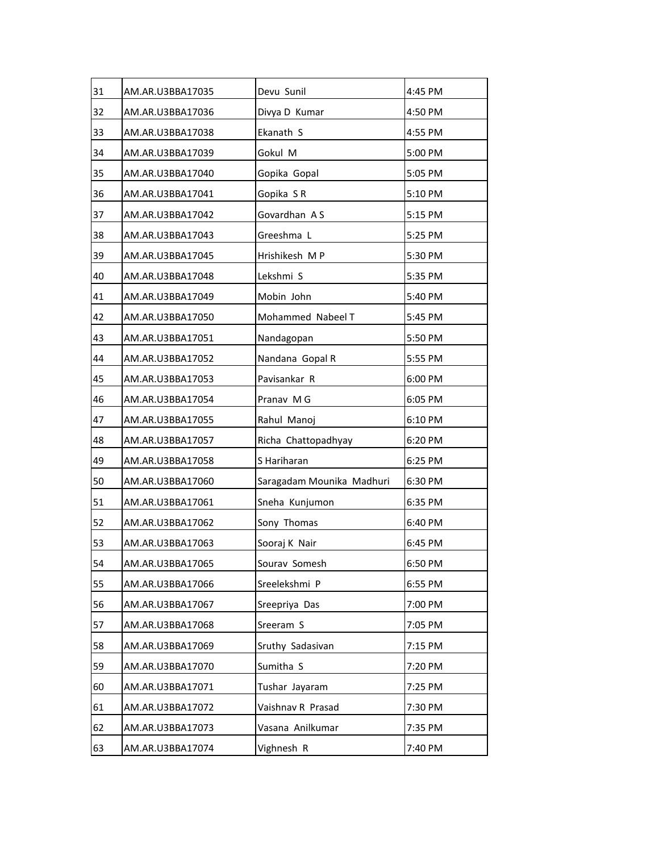| 31 | AM.AR.U3BBA17035 | Devu Sunil                | 4:45 PM |
|----|------------------|---------------------------|---------|
| 32 | AM.AR.U3BBA17036 | Divya D Kumar             | 4:50 PM |
| 33 | AM.AR.U3BBA17038 | Ekanath S                 | 4:55 PM |
| 34 | AM.AR.U3BBA17039 | Gokul M                   | 5:00 PM |
| 35 | AM.AR.U3BBA17040 | Gopika Gopal              | 5:05 PM |
| 36 | AM.AR.U3BBA17041 | Gopika SR                 | 5:10 PM |
| 37 | AM.AR.U3BBA17042 | Govardhan AS              | 5:15 PM |
| 38 | AM.AR.U3BBA17043 | Greeshma L                | 5:25 PM |
| 39 | AM.AR.U3BBA17045 | Hrishikesh MP             | 5:30 PM |
| 40 | AM.AR.U3BBA17048 | Lekshmi S                 | 5:35 PM |
| 41 | AM.AR.U3BBA17049 | Mobin John                | 5:40 PM |
| 42 | AM.AR.U3BBA17050 | Mohammed Nabeel T         | 5:45 PM |
| 43 | AM.AR.U3BBA17051 | Nandagopan                | 5:50 PM |
| 44 | AM.AR.U3BBA17052 | Nandana Gopal R           | 5:55 PM |
| 45 | AM.AR.U3BBA17053 | Pavisankar R              | 6:00 PM |
| 46 | AM.AR.U3BBA17054 | Pranav M G                | 6:05 PM |
| 47 | AM.AR.U3BBA17055 | Rahul Manoj               | 6:10 PM |
| 48 | AM.AR.U3BBA17057 | Richa Chattopadhyay       | 6:20 PM |
| 49 | AM.AR.U3BBA17058 | S Hariharan               | 6:25 PM |
| 50 | AM.AR.U3BBA17060 | Saragadam Mounika Madhuri | 6:30 PM |
| 51 | AM.AR.U3BBA17061 | Sneha Kunjumon            | 6:35 PM |
| 52 | AM.AR.U3BBA17062 | Sony Thomas               | 6:40 PM |
| 53 | AM.AR.U3BBA17063 | Sooraj K Nair             | 6:45 PM |
| 54 | AM.AR.U3BBA17065 | Sourav Somesh             | 6:50 PM |
| 55 | AM.AR.U3BBA17066 | Sreelekshmi P             | 6:55 PM |
| 56 | AM.AR.U3BBA17067 | Sreepriya Das             | 7:00 PM |
| 57 | AM.AR.U3BBA17068 | Sreeram S                 | 7:05 PM |
| 58 | AM.AR.U3BBA17069 | Sruthy Sadasivan          | 7:15 PM |
| 59 | AM.AR.U3BBA17070 | Sumitha S                 | 7:20 PM |
| 60 | AM.AR.U3BBA17071 | Tushar Jayaram            | 7:25 PM |
| 61 | AM.AR.U3BBA17072 | Vaishnav R Prasad         | 7:30 PM |
| 62 | AM.AR.U3BBA17073 | Vasana Anilkumar          | 7:35 PM |
| 63 | AM.AR.U3BBA17074 | Vighnesh R                | 7:40 PM |
|    |                  |                           |         |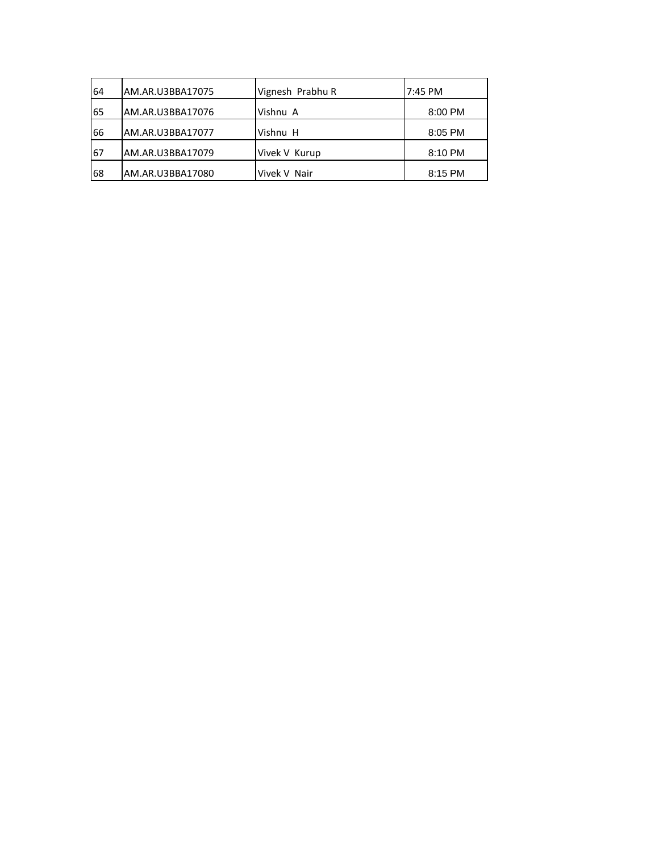| 64 | AM.AR.U3BBA17075 | Vignesh Prabhu R | 7:45 PM |
|----|------------------|------------------|---------|
| 65 | AM.AR.U3BBA17076 | Vishnu A         | 8:00 PM |
| 66 | AM.AR.U3BBA17077 | Vishnu H         | 8:05 PM |
| 67 | AM.AR.U3BBA17079 | Vivek V Kurup    | 8:10 PM |
| 68 | AM.AR.U3BBA17080 | Vivek V Nair     | 8:15 PM |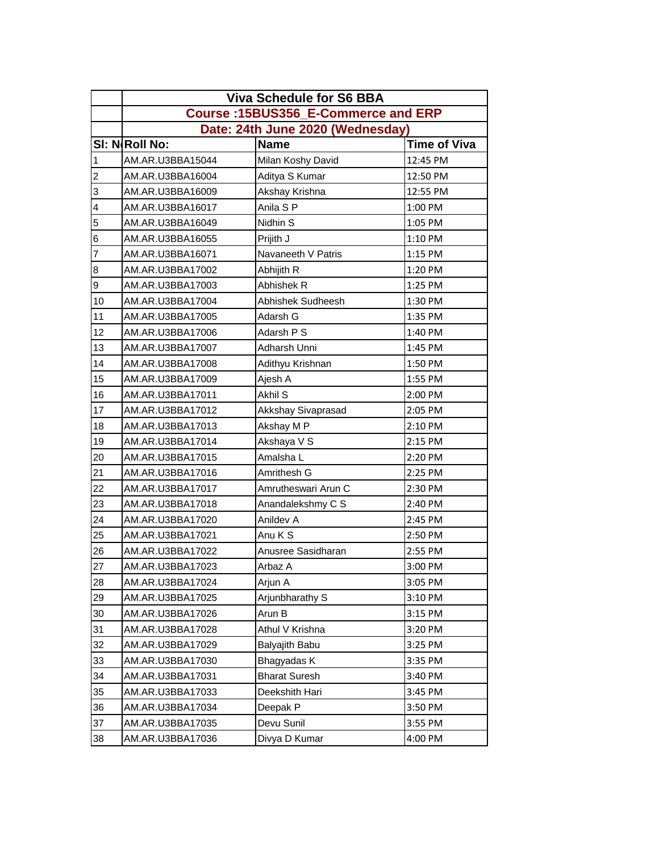|                | <b>Viva Schedule for S6 BBA</b>     |                      |                     |  |  |
|----------------|-------------------------------------|----------------------|---------------------|--|--|
|                | Course: 15BUS356_E-Commerce and ERP |                      |                     |  |  |
|                | Date: 24th June 2020 (Wednesday)    |                      |                     |  |  |
|                | SI: NRoll No:                       | <b>Name</b>          | <b>Time of Viva</b> |  |  |
| 1              | AM.AR.U3BBA15044                    | Milan Koshy David    | 12:45 PM            |  |  |
| $\overline{c}$ | AM.AR.U3BBA16004                    | Aditya S Kumar       | 12:50 PM            |  |  |
| 3              | AM.AR.U3BBA16009                    | Akshay Krishna       | 12:55 PM            |  |  |
| 4              | AM.AR.U3BBA16017                    | Anila S P            | 1:00 PM             |  |  |
| 5              | AM.AR.U3BBA16049                    | Nidhin S             | 1:05 PM             |  |  |
| 6              | AM.AR.U3BBA16055                    | Prijith J            | 1:10 PM             |  |  |
| $\overline{7}$ | AM.AR.U3BBA16071                    | Navaneeth V Patris   | 1:15 PM             |  |  |
| 8              | AM.AR.U3BBA17002                    | Abhijith R           | 1:20 PM             |  |  |
| 9              | AM.AR.U3BBA17003                    | Abhishek R           | 1:25 PM             |  |  |
| 10             | AM.AR.U3BBA17004                    | Abhishek Sudheesh    | 1:30 PM             |  |  |
| 11             | AM.AR.U3BBA17005                    | Adarsh G             | 1:35 PM             |  |  |
| 12             | AM.AR.U3BBA17006                    | Adarsh P S           | 1:40 PM             |  |  |
| 13             | AM.AR.U3BBA17007                    | Adharsh Unni         | 1:45 PM             |  |  |
| 14             | AM.AR.U3BBA17008                    | Adithyu Krishnan     | 1:50 PM             |  |  |
| 15             | AM.AR.U3BBA17009                    | Ajesh A              | 1:55 PM             |  |  |
| 16             | AM.AR.U3BBA17011                    | Akhil S              | 2:00 PM             |  |  |
| 17             | AM.AR.U3BBA17012                    | Akkshay Sivaprasad   | 2:05 PM             |  |  |
| 18             | AM.AR.U3BBA17013                    | Akshay M P           | 2:10 PM             |  |  |
| 19             | AM.AR.U3BBA17014                    | Akshaya V S          | 2:15 PM             |  |  |
| 20             | AM.AR.U3BBA17015                    | Amalsha L            | 2:20 PM             |  |  |
| 21             | AM.AR.U3BBA17016                    | Amrithesh G          | 2:25 PM             |  |  |
| 22             | AM.AR.U3BBA17017                    | Amrutheswari Arun C  | 2:30 PM             |  |  |
| 23             | AM.AR.U3BBA17018                    | Anandalekshmy C S    | 2:40 PM             |  |  |
| 24             | AM.AR.U3BBA17020                    | Anildev A            | 2:45 PM             |  |  |
| 25             | AM.AR.U3BBA17021                    | Anu K S              | 2:50 PM             |  |  |
| 26             | AM.AR.U3BBA17022                    | Anusree Sasidharan   | 2:55 PM             |  |  |
| 27             | AM.AR.U3BBA17023                    | Arbaz A              | 3:00 PM             |  |  |
| 28             | AM.AR.U3BBA17024                    | Arjun A              | 3:05 PM             |  |  |
| 29             | AM.AR.U3BBA17025                    | Arjunbharathy S      | 3:10 PM             |  |  |
| 30             | AM.AR.U3BBA17026                    | Arun B               | 3:15 PM             |  |  |
| 31             | AM.AR.U3BBA17028                    | Athul V Krishna      | 3:20 PM             |  |  |
| 32             | AM.AR.U3BBA17029                    | Balyajith Babu       | 3:25 PM             |  |  |
| 33             | AM.AR.U3BBA17030                    | Bhagyadas K          | 3:35 PM             |  |  |
| 34             | AM.AR.U3BBA17031                    | <b>Bharat Suresh</b> | 3:40 PM             |  |  |
| 35             | AM.AR.U3BBA17033                    | Deekshith Hari       | 3:45 PM             |  |  |
| 36             | AM.AR.U3BBA17034                    | Deepak P             | 3:50 PM             |  |  |
| 37             | AM.AR.U3BBA17035                    | Devu Sunil           | 3:55 PM             |  |  |
| 38             | AM.AR.U3BBA17036                    | Divya D Kumar        | 4:00 PM             |  |  |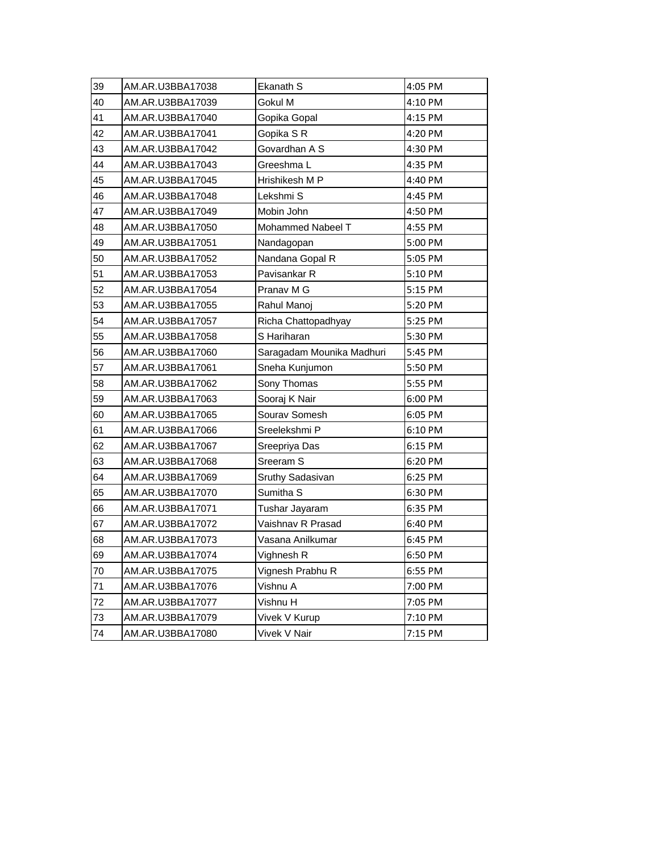| 39 | AM.AR.U3BBA17038 | Ekanath S                 | 4:05 PM |
|----|------------------|---------------------------|---------|
| 40 | AM.AR.U3BBA17039 | Gokul M                   | 4:10 PM |
| 41 | AM.AR.U3BBA17040 | Gopika Gopal              | 4:15 PM |
| 42 | AM.AR.U3BBA17041 | Gopika SR                 | 4:20 PM |
| 43 | AM.AR.U3BBA17042 | Govardhan A S             | 4:30 PM |
| 44 | AM.AR.U3BBA17043 | Greeshma L                | 4:35 PM |
| 45 | AM.AR.U3BBA17045 | Hrishikesh M P            | 4:40 PM |
| 46 | AM.AR.U3BBA17048 | Lekshmi S                 | 4:45 PM |
| 47 | AM.AR.U3BBA17049 | Mobin John                | 4:50 PM |
| 48 | AM.AR.U3BBA17050 | Mohammed Nabeel T         | 4:55 PM |
| 49 | AM.AR.U3BBA17051 | Nandagopan                | 5:00 PM |
| 50 | AM.AR.U3BBA17052 | Nandana Gopal R           | 5:05 PM |
| 51 | AM.AR.U3BBA17053 | Pavisankar R              | 5:10 PM |
| 52 | AM.AR.U3BBA17054 | Pranav M G                | 5:15 PM |
| 53 | AM.AR.U3BBA17055 | Rahul Manoj               | 5:20 PM |
| 54 | AM.AR.U3BBA17057 | Richa Chattopadhyay       | 5:25 PM |
| 55 | AM.AR.U3BBA17058 | S Hariharan               | 5:30 PM |
| 56 | AM.AR.U3BBA17060 | Saragadam Mounika Madhuri | 5:45 PM |
| 57 | AM.AR.U3BBA17061 | Sneha Kunjumon            | 5:50 PM |
| 58 | AM.AR.U3BBA17062 | Sony Thomas               | 5:55 PM |
| 59 | AM.AR.U3BBA17063 | Sooraj K Nair             | 6:00 PM |
| 60 | AM.AR.U3BBA17065 | Sourav Somesh             | 6:05 PM |
| 61 | AM.AR.U3BBA17066 | Sreelekshmi P             | 6:10 PM |
| 62 | AM.AR.U3BBA17067 | Sreepriya Das             | 6:15 PM |
| 63 | AM.AR.U3BBA17068 | Sreeram S                 | 6:20 PM |
| 64 | AM.AR.U3BBA17069 | Sruthy Sadasivan          | 6:25 PM |
| 65 | AM.AR.U3BBA17070 | Sumitha <sub>S</sub>      | 6:30 PM |
| 66 | AM.AR.U3BBA17071 | Tushar Jayaram            | 6:35 PM |
| 67 | AM.AR.U3BBA17072 | Vaishnav R Prasad         | 6:40 PM |
| 68 | AM.AR.U3BBA17073 | Vasana Anilkumar          | 6:45 PM |
| 69 | AM.AR.U3BBA17074 | Vighnesh R                | 6:50 PM |
| 70 | AM.AR.U3BBA17075 | Vignesh Prabhu R          | 6:55 PM |
| 71 | AM.AR.U3BBA17076 | Vishnu A                  | 7:00 PM |
| 72 | AM.AR.U3BBA17077 | Vishnu H                  | 7:05 PM |
| 73 | AM.AR.U3BBA17079 | Vivek V Kurup             | 7:10 PM |
| 74 | AM.AR.U3BBA17080 | Vivek V Nair              | 7:15 PM |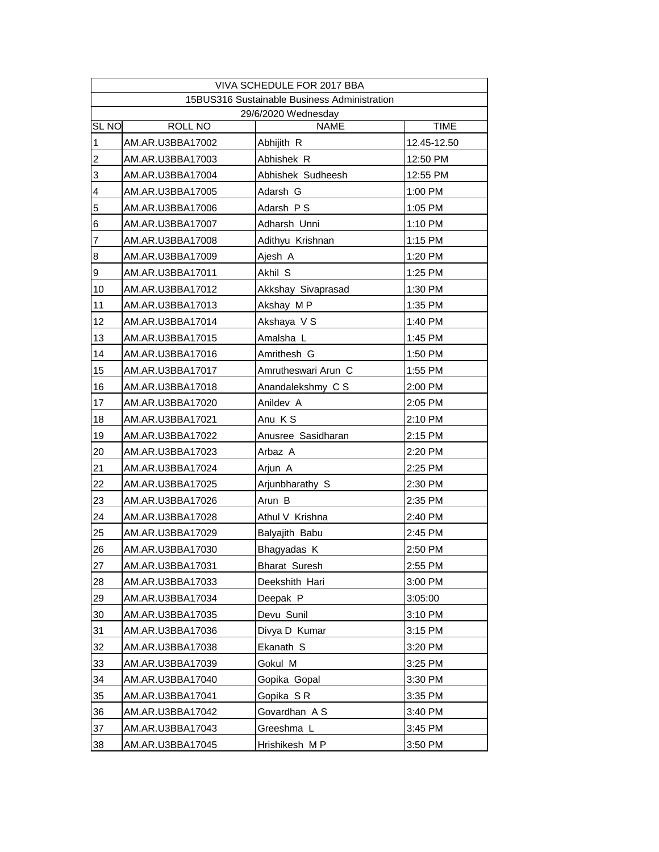|                |                     | VIVA SCHEDULE FOR 2017 BBA                   |             |  |  |  |
|----------------|---------------------|----------------------------------------------|-------------|--|--|--|
|                |                     | 15BUS316 Sustainable Business Administration |             |  |  |  |
|                | 29/6/2020 Wednesday |                                              |             |  |  |  |
| <b>SL NO</b>   | <b>ROLL NO</b>      | <b>NAME</b>                                  | <b>TIME</b> |  |  |  |
| $\mathbf 1$    | AM.AR.U3BBA17002    | Abhijith R                                   | 12.45-12.50 |  |  |  |
| $\overline{c}$ | AM.AR.U3BBA17003    | Abhishek R                                   | 12:50 PM    |  |  |  |
| 3              | AM.AR.U3BBA17004    | Abhishek Sudheesh                            | 12:55 PM    |  |  |  |
| 4              | AM.AR.U3BBA17005    | Adarsh G                                     | 1:00 PM     |  |  |  |
| 5              | AM.AR.U3BBA17006    | Adarsh PS                                    | 1:05 PM     |  |  |  |
| 6              | AM.AR.U3BBA17007    | Adharsh Unni                                 | 1:10 PM     |  |  |  |
| 7              | AM.AR.U3BBA17008    | Adithyu Krishnan                             | 1:15 PM     |  |  |  |
| $\bf8$         | AM.AR.U3BBA17009    | Ajesh A                                      | 1:20 PM     |  |  |  |
| 9              | AM.AR.U3BBA17011    | Akhil S                                      | 1:25 PM     |  |  |  |
| 10             | AM.AR.U3BBA17012    | Akkshay Sivaprasad                           | 1:30 PM     |  |  |  |
| 11             | AM.AR.U3BBA17013    | Akshay MP                                    | 1:35 PM     |  |  |  |
| 12             | AM.AR.U3BBA17014    | Akshaya V S                                  | 1:40 PM     |  |  |  |
| 13             | AM.AR.U3BBA17015    | Amalsha L                                    | 1:45 PM     |  |  |  |
| 14             | AM.AR.U3BBA17016    | Amrithesh G                                  | 1:50 PM     |  |  |  |
| 15             | AM.AR.U3BBA17017    | Amrutheswari Arun C                          | 1:55 PM     |  |  |  |
| 16             | AM.AR.U3BBA17018    | Anandalekshmy C S                            | 2:00 PM     |  |  |  |
| 17             | AM.AR.U3BBA17020    | Anildev A                                    | 2:05 PM     |  |  |  |
| 18             | AM.AR.U3BBA17021    | Anu KS                                       | 2:10 PM     |  |  |  |
| 19             | AM.AR.U3BBA17022    | Anusree Sasidharan                           | 2:15 PM     |  |  |  |
| 20             | AM.AR.U3BBA17023    | Arbaz A                                      | 2:20 PM     |  |  |  |
| 21             | AM.AR.U3BBA17024    | Arjun A                                      | 2:25 PM     |  |  |  |
| 22             | AM.AR.U3BBA17025    | Arjunbharathy S                              | 2:30 PM     |  |  |  |
| 23             | AM.AR.U3BBA17026    | Arun B                                       | 2:35 PM     |  |  |  |
| 24             | AM.AR.U3BBA17028    | Athul V Krishna                              | 2:40 PM     |  |  |  |
| 25             | AM.AR.U3BBA17029    | Balyajith Babu                               | 2:45 PM     |  |  |  |
| 26             | AM.AR.U3BBA17030    | Bhagyadas K                                  | 2:50 PM     |  |  |  |
| 27             | AM.AR.U3BBA17031    | <b>Bharat Suresh</b>                         | 2:55 PM     |  |  |  |
| 28             | AM.AR.U3BBA17033    | Deekshith Hari                               | 3:00 PM     |  |  |  |
| 29             | AM.AR.U3BBA17034    | Deepak P                                     | 3:05:00     |  |  |  |
| 30             | AM.AR.U3BBA17035    | Devu Sunil                                   | 3:10 PM     |  |  |  |
| 31             | AM.AR.U3BBA17036    | Divya D Kumar                                | 3:15 PM     |  |  |  |
| 32             | AM.AR.U3BBA17038    | Ekanath S                                    | 3:20 PM     |  |  |  |
| 33             | AM.AR.U3BBA17039    | Gokul M                                      | 3:25 PM     |  |  |  |
| 34             | AM.AR.U3BBA17040    | Gopika Gopal                                 | 3:30 PM     |  |  |  |
| 35             | AM.AR.U3BBA17041    | Gopika SR                                    | 3:35 PM     |  |  |  |
| 36             | AM.AR.U3BBA17042    | Govardhan A S                                | 3:40 PM     |  |  |  |
| 37             | AM.AR.U3BBA17043    | Greeshma L                                   | 3:45 PM     |  |  |  |
|                |                     |                                              |             |  |  |  |
| 38             | AM.AR.U3BBA17045    | Hrishikesh MP                                | 3:50 PM     |  |  |  |